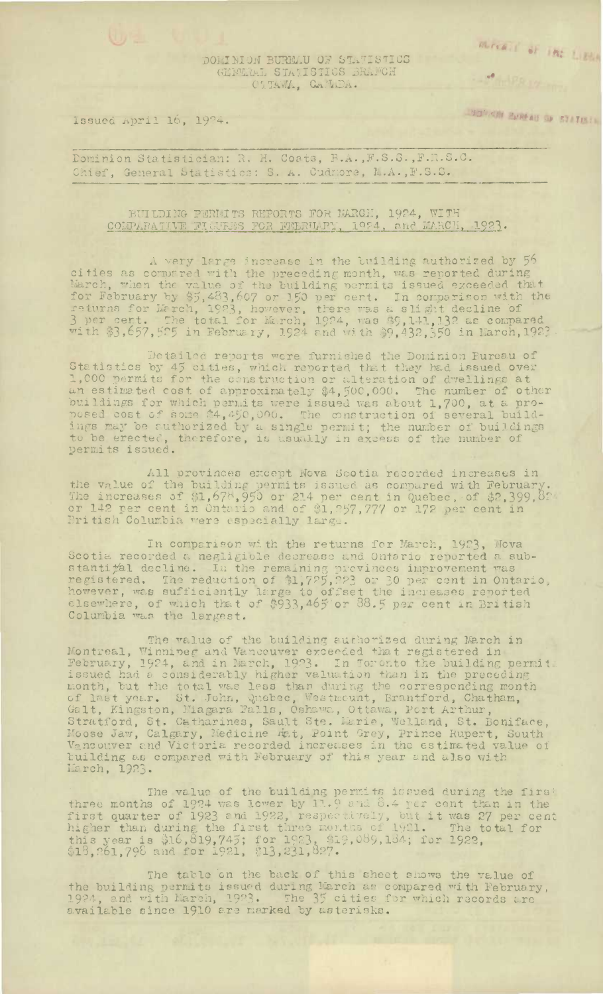Mirra I of The Little

## DOMINION BURMAU OF STATISTICS GENERAL STATISTICS BRAFCH CATAWA, GAMEDA.

Issued April 16, 1924.

TENGIN RENGAN OF STATISTIC

**CALLER IV** 

Dominion Statistician: R. H. Coats, B.A., F.S.S., F.R.S.C. Chief, General Statistics: S. A. Cudmore, M.A., F.S.S.

BUILDING PERMITS REPORTS FOR MARCH, 1924, WITH COMPARATIVE FIGURES FOR FEBRUARY, 1924, and MARCH, 1923.

A very large increase in the building authorized by 56 a wery large shorease in the turning authorized by points as compred with the preceding month, was reported during March, when the value of the building permits issued exceeded that for February by \$5,483,607 or 150 per ce

Detailed reports were furnished the Dominion Bureau of Statistics by 45 cities, which reported that they had issued over 1,000 permits for the construction or alteration of dvellings at an estimated cost of approximately \$4,500,000. The number of other buildings for which perm to be erected, therefore, is usually in excess of the number of permits issued.

All provinces except Nova Scotia recorded increases in the value of the building permits issued as compared with February.<br>The increases of \$1,678,950 or 214 per cent in Quebec, of \$2,399,82<br>or 142 per cent in Ontario and of \$1,257,777 or 172 per cent in<br>British Columbia were

In comparison with the returns for March, 1923, Mova<br>Scotia recorded a negligible decrease and Ontario reported a sub-<br>stanti#al decline. In the remaining previnces improvement was<br>registered. The reduction of \$1,725,223 o

The value of the building authorized during March in The value of the building authorized during March in<br>
Montreal, Winnipeg and Vancouver exceeded that registered in<br>
February, 1924, and in March, 1923. In Toronto the building permit<br>
issued had a considerably higher valua tuilding as compared with February of this year and also with March, 1923.

The value of the building permits is sued during the first The value of the building permits issoed during the first<br>three months of 1924 was lower by 11.9 and 8.4 per cent than in the<br>first quarter of 1923 and 1922, respectively, but it was 27 per cent<br>higher than during the firs

The table on the back of this sheet shows the value of the building permits issued during March as compared with February, 1924, and with March, 1923. The 35 cities for which records are available since 1910 are marked by asterisks.